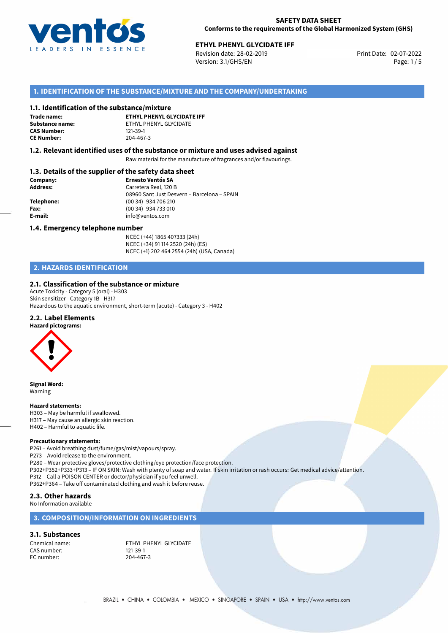

Revision date: 28-02-2019 Version: 3.1/GHS/EN Page: 1 / 5

## **1. IDENTIFICATION OF THE SUBSTANCE/MIXTURE AND THE COMPANY/UNDERTAKING**

#### **1.1. Identification of the substance/mixture**

**Trade name: CAS Number: CE Number:** 204-467-3

**ETHYL PHENYL GLYCIDATE IFF Substance name:** ETHYL PHENYL GLYCIDATE<br> **CAS Number:** 121-39-1

#### **1.2. Relevant identified uses of the substance or mixture and uses advised against**

Raw material for the manufacture of fragrances and/or flavourings.

## **1.3. Details of the supplier of the safety data sheet**

| Company:        | <b>Ernesto Ventós SA</b>                    |
|-----------------|---------------------------------------------|
| <b>Address:</b> | Carretera Real, 120 B                       |
|                 | 08960 Sant Just Desvern - Barcelona - SPAIN |
| Telephone:      | (00 34) 934 706 210                         |
| Fax:            | (00 34) 934 733 010                         |
| E-mail:         | info@ventos.com                             |
|                 |                                             |

#### **1.4. Emergency telephone number**

NCEC (+44) 1865 407333 (24h) NCEC (+34) 91 114 2520 (24h) (ES) NCEC (+1) 202 464 2554 (24h) (USA, Canada)

## **2. HAZARDS IDENTIFICATION**

### **2.1. Classification of the substance or mixture**

Acute Toxicity - Category 5 (oral) - H303 Skin sensitizer - Category 1B - H317 Hazardous to the aquatic environment, short-term (acute) - Category 3 - H402

#### **2.2. Label Elements**



**Signal Word:** Warning

#### **Hazard statements:**

H303 – May be harmful if swallowed. H317 – May cause an allergic skin reaction. H402 – Harmful to aquatic life.

#### **Precautionary statements:**

P261 – Avoid breathing dust/fume/gas/mist/vapours/spray. P273 – Avoid release to the environment. P280 – Wear protective gloves/protective clothing/eye protection/face protection. P302+P352+P333+P313 – IF ON SKIN: Wash with plenty of soap and water. If skin irritation or rash occurs: Get medical advice/attention. P312 – Call a POISON CENTER or doctor/physician if you feel unwell. P362+P364 – Take off contaminated clothing and wash it before reuse. **2.3. Other hazards**

No Information available

## **3. COMPOSITION/INFORMATION ON INGREDIENTS**

#### **3.1. Substances**

CAS number: 121-39-1<br>EC number: 204-467-3 EC number:

Chemical name: ETHYL PHENYL GLYCIDATE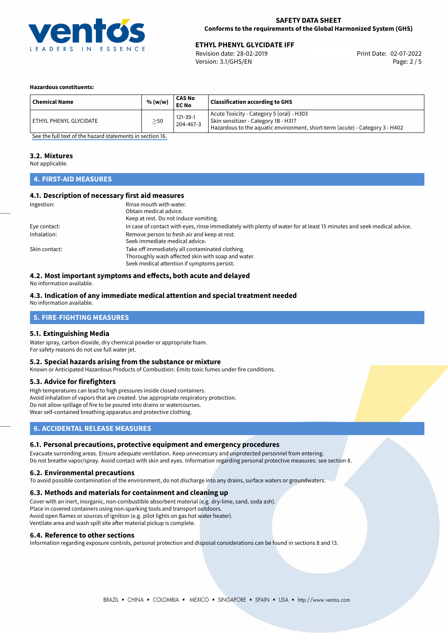

Revision date: 28-02-2019 Version: 3.1/GHS/EN Page: 2 / 5

#### **Hazardous constituents:**

| <b>Chemical Name</b>     | % (w/w)   | CAS No<br><b>EC No</b> | <b>Classification according to GHS</b>                                                                                                                            |
|--------------------------|-----------|------------------------|-------------------------------------------------------------------------------------------------------------------------------------------------------------------|
| ' ETHYL PHENYL GLYCIDATE | $\geq$ 50 | 121-39-1<br>204-467-3  | Acute Toxicity - Category 5 (oral) - H303<br>Skin sensitizer - Category 1B - H317<br>Hazardous to the aquatic environment, short-term (acute) - Category 3 - H402 |

[See the full text of the hazard statements in section 16.](#page-4-0)

#### **3.2. Mixtures**

Not applicable.

## **4. FIRST-AID MEASURES**

### **4.1. Description of necessary first aid measures**

| Ingestion:    | Rinse mouth with water.                                                                                               |
|---------------|-----------------------------------------------------------------------------------------------------------------------|
|               | Obtain medical advice.                                                                                                |
|               | Keep at rest. Do not induce vomiting.                                                                                 |
| Eye contact:  | In case of contact with eyes, rinse immediately with plenty of water for at least 15 minutes and seek medical advice. |
| Inhalation:   | Remove person to fresh air and keep at rest.                                                                          |
|               | Seek immediate medical advice.                                                                                        |
| Skin contact: | Take off immediately all contaminated clothing.                                                                       |
|               | Thoroughly wash affected skin with soap and water.                                                                    |
|               | Seek medical attention if symptoms persist.                                                                           |

## **4.2. Most important symptoms and effects, both acute and delayed**

No information available.

### **4.3. Indication of any immediate medical attention and special treatment needed**

No information available.

## **5. FIRE-FIGHTING MEASURES**

#### **5.1. Extinguishing Media**

Water spray, carbon dioxide, dry chemical powder or appropriate foam. For safety reasons do not use full water jet.

#### **5.2. Special hazards arising from the substance or mixture**

Known or Anticipated Hazardous Products of Combustion: Emits toxic fumes under fire conditions.

#### **5.3. Advice for firefighters**

High temperatures can lead to high pressures inside closed containers. Avoid inhalation of vapors that are created. Use appropriate respiratory protection. Do not allow spillage of fire to be poured into drains or watercourses. Wear self-contained breathing apparatus and protective clothing.

## **6. ACCIDENTAL RELEASE MEASURES**

#### **6.1. Personal precautions, protective equipment and emergency procedures**

Evacuate surronding areas. Ensure adequate ventilation. Keep unnecessary and unprotected personnel from entering. Do not breathe vapor/spray. Avoid contact with skin and eyes. Information regarding personal protective measures: see section 8.

#### **6.2. Environmental precautions**

To avoid possible contamination of the environment, do not discharge into any drains, surface waters or groundwaters.

#### **6.3. Methods and materials for containment and cleaning up**

Cover with an inert, inorganic, non-combustible absorbent material (e.g. dry-lime, sand, soda ash). Place in covered containers using non-sparking tools and transport outdoors. Avoid open flames or sources of ignition (e.g. pilot lights on gas hot water heater). Ventilate area and wash spill site after material pickup is complete.

#### **6.4. Reference to other sections**

Information regarding exposure controls, personal protection and disposal considerations can be found in sections 8 and 13.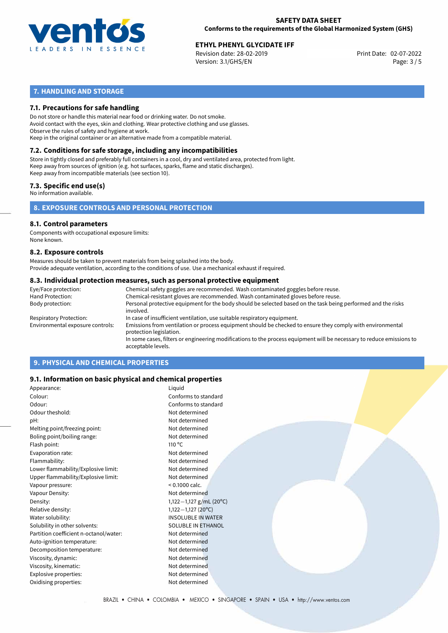

Revision date: 28-02-2019 Version: 3.1/GHS/EN Page: 3 / 5

## **7. HANDLING AND STORAGE**

## **7.1. Precautions for safe handling**

Do not store or handle this material near food or drinking water. Do not smoke. Avoid contact with the eyes, skin and clothing. Wear protective clothing and use glasses. Observe the rules of safety and hygiene at work. Keep in the original container or an alternative made from a compatible material.

## **7.2. Conditions for safe storage, including any incompatibilities**

Store in tightly closed and preferably full containers in a cool, dry and ventilated area, protected from light. Keep away from sources of ignition (e.g. hot surfaces, sparks, flame and static discharges). Keep away from incompatible materials (see section 10).

## **7.3. Specific end use(s)**

No information available.

**8. EXPOSURE CONTROLS AND PERSONAL PROTECTION**

#### **8.1. Control parameters**

Components with occupational exposure limits: None known.

#### **8.2. Exposure controls**

Measures should be taken to prevent materials from being splashed into the body. Provide adequate ventilation, according to the conditions of use. Use a mechanical exhaust if required.

#### **8.3. Individual protection measures, such as personal protective equipment**

| Eye/Face protection:             | Chemical safety goggles are recommended. Wash contaminated goggles before reuse.                                                            |
|----------------------------------|---------------------------------------------------------------------------------------------------------------------------------------------|
| Hand Protection:                 | Chemical-resistant gloves are recommended. Wash contaminated gloves before reuse.                                                           |
| Body protection:                 | Personal protective equipment for the body should be selected based on the task being performed and the risks<br>involved.                  |
| Respiratory Protection:          | In case of insufficient ventilation, use suitable respiratory equipment.                                                                    |
| Environmental exposure controls: | Emissions from ventilation or process equipment should be checked to ensure they comply with environmental<br>protection legislation.       |
|                                  | In some cases, filters or engineering modifications to the process equipment will be necessary to reduce emissions to<br>acceptable levels. |
|                                  |                                                                                                                                             |

## **9. PHYSICAL AND CHEMICAL PROPERTIES**

### **9.1. Information on basic physical and chemical properties**

| Appearance:                            | Liquid                    |  |
|----------------------------------------|---------------------------|--|
| Colour:                                | Conforms to standard      |  |
| Odour:                                 | Conforms to standard      |  |
| Odour theshold:                        | Not determined            |  |
| pH:                                    | Not determined            |  |
| Melting point/freezing point:          | Not determined            |  |
| Boling point/boiling range:            | Not determined            |  |
| Flash point:                           | $110^{\circ}$ C           |  |
| Evaporation rate:                      | Not determined            |  |
| Flammability:                          | Not determined            |  |
| Lower flammability/Explosive limit:    | Not determined            |  |
| Upper flammability/Explosive limit:    | Not determined            |  |
| Vapour pressure:                       | $< 0.1000$ calc.          |  |
| Vapour Density:                        | Not determined            |  |
| Density:                               | 1,122 - 1,127 g/mL (20°C) |  |
| Relative density:                      | $1,122-1,127$ (20°C)      |  |
| Water solubility:                      | <b>INSOLUBLE IN WATER</b> |  |
| Solubility in other solvents:          | SOLUBLE IN ETHANOL        |  |
| Partition coefficient n-octanol/water: | Not determined            |  |
| Auto-ignition temperature:             | Not determined            |  |
| Decomposition temperature:             | Not determined            |  |
| Viscosity, dynamic:                    | Not determined            |  |
| Viscosity, kinematic:                  | Not determined            |  |
| Explosive properties:                  | Not determined            |  |
| Oxidising properties:                  | Not determined            |  |
|                                        |                           |  |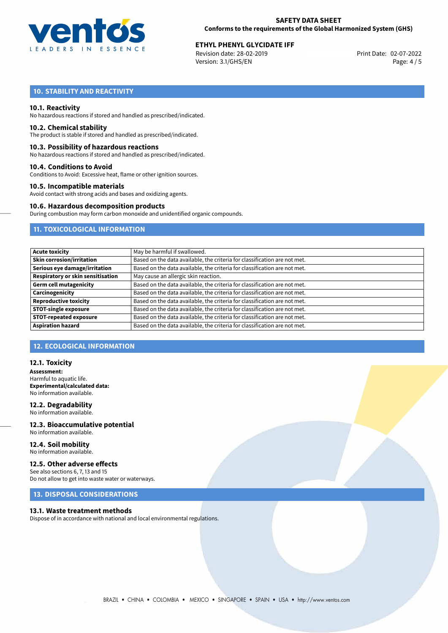

Revision date: 28-02-2019 Version: 3.1/GHS/EN Page: 4 / 5

## **10. STABILITY AND REACTIVITY**

#### **10.1. Reactivity**

No hazardous reactions if stored and handled as prescribed/indicated.

#### **10.2. Chemical stability**

The product is stable if stored and handled as prescribed/indicated.

#### **10.3. Possibility of hazardous reactions**

No hazardous reactions if stored and handled as prescribed/indicated.

#### **10.4. Conditions to Avoid**

Conditions to Avoid: Excessive heat, flame or other ignition sources.

#### **10.5. Incompatible materials**

Avoid contact with strong acids and bases and oxidizing agents.

### **10.6. Hazardous decomposition products**

During combustion may form carbon monoxide and unidentified organic compounds.

## **11. TOXICOLOGICAL INFORMATION**

| <b>Acute toxicity</b>             | May be harmful if swallowed.                                              |
|-----------------------------------|---------------------------------------------------------------------------|
| <b>Skin corrosion/irritation</b>  | Based on the data available, the criteria for classification are not met. |
| Serious eye damage/irritation     | Based on the data available, the criteria for classification are not met. |
| Respiratory or skin sensitisation | May cause an allergic skin reaction.                                      |
| <b>Germ cell mutagenicity</b>     | Based on the data available, the criteria for classification are not met. |
| Carcinogenicity                   | Based on the data available, the criteria for classification are not met. |
| <b>Reproductive toxicity</b>      | Based on the data available, the criteria for classification are not met. |
| <b>STOT-single exposure</b>       | Based on the data available, the criteria for classification are not met. |
| <b>STOT-repeated exposure</b>     | Based on the data available, the criteria for classification are not met. |
| <b>Aspiration hazard</b>          | Based on the data available, the criteria for classification are not met. |

## **12. ECOLOGICAL INFORMATION**

#### **12.1. Toxicity**

**Assessment:** Harmful to aquatic life. **Experimental/calculated data:** No information available.

## **12.2. Degradability**

No information available.

#### **12.3. Bioaccumulative potential** No information available.

**12.4. Soil mobility** No information available.

#### **12.5. Other adverse effects**

See also sections 6, 7, 13 and 15 Do not allow to get into waste water or waterways.

## **13. DISPOSAL CONSIDERATIONS**

#### **13.1. Waste treatment methods**

Dispose of in accordance with national and local environmental regulations.